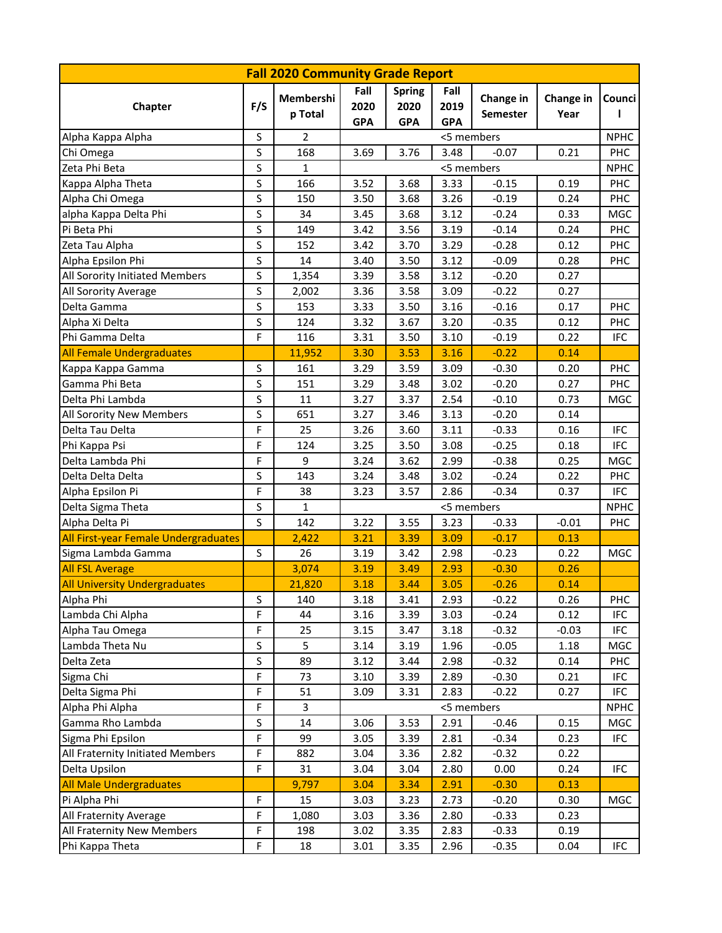| <b>Fall 2020 Community Grade Report</b> |             |                      |                            |                                     |                            |                       |                   |                    |  |  |  |
|-----------------------------------------|-------------|----------------------|----------------------------|-------------------------------------|----------------------------|-----------------------|-------------------|--------------------|--|--|--|
| Chapter                                 | F/S         | Membershi<br>p Total | Fall<br>2020<br><b>GPA</b> | <b>Spring</b><br>2020<br><b>GPA</b> | Fall<br>2019<br><b>GPA</b> | Change in<br>Semester | Change in<br>Year | <b>Counci</b><br>ı |  |  |  |
| Alpha Kappa Alpha                       | S           | $\overline{2}$       | <5 members                 |                                     |                            |                       |                   |                    |  |  |  |
| Chi Omega                               | $\mathsf S$ | 168                  | 3.69                       | 3.76                                | 3.48                       | $-0.07$               | 0.21              | <b>NPHC</b><br>PHC |  |  |  |
| Zeta Phi Beta                           | S           | $\mathbf{1}$         | <5 members                 |                                     |                            |                       |                   | <b>NPHC</b>        |  |  |  |
| Kappa Alpha Theta                       | S           | 166                  | 3.52                       | 3.68                                | 3.33                       | $-0.15$               | 0.19              | <b>PHC</b>         |  |  |  |
| Alpha Chi Omega                         | S           | 150                  | 3.50                       | 3.68                                | 3.26                       | $-0.19$               | 0.24              | <b>PHC</b>         |  |  |  |
| alpha Kappa Delta Phi                   | S           | 34                   | 3.45                       | 3.68                                | 3.12                       | $-0.24$               | 0.33              | MGC                |  |  |  |
| Pi Beta Phi                             | S           | 149                  | 3.42                       | 3.56                                | 3.19                       | $-0.14$               | 0.24              | <b>PHC</b>         |  |  |  |
| Zeta Tau Alpha                          | S           | 152                  | 3.42                       | 3.70                                | 3.29                       | $-0.28$               | 0.12              | <b>PHC</b>         |  |  |  |
| Alpha Epsilon Phi                       | S           | 14                   | 3.40                       | 3.50                                | 3.12                       | $-0.09$               | 0.28              | <b>PHC</b>         |  |  |  |
| All Sorority Initiated Members          | S           | 1,354                | 3.39                       | 3.58                                | 3.12                       | $-0.20$               | 0.27              |                    |  |  |  |
| All Sorority Average                    | S           | 2,002                | 3.36                       | 3.58                                | 3.09                       | $-0.22$               | 0.27              |                    |  |  |  |
| Delta Gamma                             | S           | 153                  | 3.33                       | 3.50                                | 3.16                       | $-0.16$               | 0.17              | PHC                |  |  |  |
| Alpha Xi Delta                          | S           | 124                  | 3.32                       | 3.67                                | 3.20                       | $-0.35$               | 0.12              | <b>PHC</b>         |  |  |  |
| Phi Gamma Delta                         | F           | 116                  | 3.31                       | 3.50                                | 3.10                       | $-0.19$               | 0.22              | IFC                |  |  |  |
| <b>All Female Undergraduates</b>        |             | 11,952               | 3.30                       | 3.53                                | 3.16                       | $-0.22$               | 0.14              |                    |  |  |  |
| Kappa Kappa Gamma                       | S           | 161                  | 3.29                       | 3.59                                | 3.09                       | $-0.30$               | 0.20              | <b>PHC</b>         |  |  |  |
| Gamma Phi Beta                          | S           | 151                  | 3.29                       | 3.48                                | 3.02                       | $-0.20$               | 0.27              | PHC                |  |  |  |
| Delta Phi Lambda                        | S           | 11                   | 3.27                       | 3.37                                | 2.54                       | $-0.10$               | 0.73              | MGC                |  |  |  |
| All Sorority New Members                | S           | 651                  | 3.27                       | 3.46                                | 3.13                       | $-0.20$               | 0.14              |                    |  |  |  |
| Delta Tau Delta                         | F           | 25                   | 3.26                       | 3.60                                | 3.11                       | $-0.33$               | 0.16              | <b>IFC</b>         |  |  |  |
| Phi Kappa Psi                           | F           | 124                  | 3.25                       | 3.50                                | 3.08                       | $-0.25$               | 0.18              | <b>IFC</b>         |  |  |  |
| Delta Lambda Phi                        | F           | 9                    | 3.24                       | 3.62                                | 2.99                       | $-0.38$               | 0.25              | <b>MGC</b>         |  |  |  |
| Delta Delta Delta                       | $\mathsf S$ | 143                  | 3.24                       | 3.48                                | 3.02                       | $-0.24$               | 0.22              | PHC                |  |  |  |
| Alpha Epsilon Pi                        | F           | 38                   | 3.23                       | 3.57                                | 2.86                       | $-0.34$               | 0.37              | IFC                |  |  |  |
| Delta Sigma Theta                       | S           | $\mathbf{1}$         | <5 members                 |                                     |                            |                       |                   | <b>NPHC</b>        |  |  |  |
| Alpha Delta Pi                          | S           | 142                  | 3.22                       | 3.55                                | 3.23                       | $-0.33$               | $-0.01$           | PHC                |  |  |  |
| All First-year Female Undergraduates    |             | 2,422                | 3.21                       | 3.39                                | 3.09                       | $-0.17$               | 0.13              |                    |  |  |  |
| Sigma Lambda Gamma                      | S           | 26                   | 3.19                       | 3.42                                | 2.98                       | $-0.23$               | 0.22              | <b>MGC</b>         |  |  |  |
| <b>All FSL Average</b>                  |             | 3,074                | 3.19                       | 3.49                                | 2.93                       | $-0.30$               | 0.26              |                    |  |  |  |
| <b>All University Undergraduates</b>    |             | 21,820               | 3.18                       | 3.44                                | 3.05                       | $-0.26$               | 0.14              |                    |  |  |  |
| Alpha Phi                               | S           | 140                  | 3.18                       | 3.41                                | 2.93                       | $-0.22$               | 0.26              | PHC                |  |  |  |
| Lambda Chi Alpha                        | F           | 44                   | 3.16                       | 3.39                                | 3.03                       | $-0.24$               | 0.12              | IFC                |  |  |  |
| Alpha Tau Omega                         | F           | 25                   | 3.15                       | 3.47                                | 3.18                       | $-0.32$               | $-0.03$           | <b>IFC</b>         |  |  |  |
| Lambda Theta Nu                         | $\sf S$     | 5                    | 3.14                       | 3.19                                | 1.96                       | $-0.05$               | 1.18              | MGC                |  |  |  |
| Delta Zeta                              | S           | 89                   | 3.12                       | 3.44                                | 2.98                       | $-0.32$               | 0.14              | <b>PHC</b>         |  |  |  |
| Sigma Chi                               | F           | 73                   | 3.10                       | 3.39                                | 2.89                       | $-0.30$               | 0.21              | <b>IFC</b>         |  |  |  |
| Delta Sigma Phi                         | F           | 51                   | 3.09                       | 3.31                                | 2.83                       | $-0.22$               | 0.27              | <b>IFC</b>         |  |  |  |
| Alpha Phi Alpha                         | F           | $\mathbf{3}$         | <5 members                 |                                     |                            |                       |                   | <b>NPHC</b>        |  |  |  |
| Gamma Rho Lambda                        | S           | 14                   | 3.06                       | 3.53                                | 2.91                       | $-0.46$               | 0.15              | MGC                |  |  |  |
| Sigma Phi Epsilon                       | F           | 99                   | 3.05                       | 3.39                                | 2.81                       | $-0.34$               | 0.23              | <b>IFC</b>         |  |  |  |
| All Fraternity Initiated Members        | F           | 882                  | 3.04                       | 3.36                                | 2.82                       | $-0.32$               | 0.22              |                    |  |  |  |
| Delta Upsilon                           | F           | 31                   | 3.04                       | 3.04                                | 2.80                       | 0.00                  | 0.24              | IFC                |  |  |  |
| <b>All Male Undergraduates</b>          |             | 9,797                | 3.04                       | 3.34                                | 2.91                       | $-0.30$               | 0.13              |                    |  |  |  |
| Pi Alpha Phi                            | F           | 15                   | 3.03                       | 3.23                                | 2.73                       | $-0.20$               | 0.30              | MGC                |  |  |  |
| All Fraternity Average                  | F           | 1,080                | 3.03                       | 3.36                                | 2.80                       | $-0.33$               | 0.23              |                    |  |  |  |
| All Fraternity New Members              | F           | 198                  | 3.02                       | 3.35                                | 2.83                       | $-0.33$               | 0.19              |                    |  |  |  |
| Phi Kappa Theta                         | F           | 18                   | 3.01                       | 3.35                                | 2.96                       | $-0.35$               | 0.04              | IFC                |  |  |  |